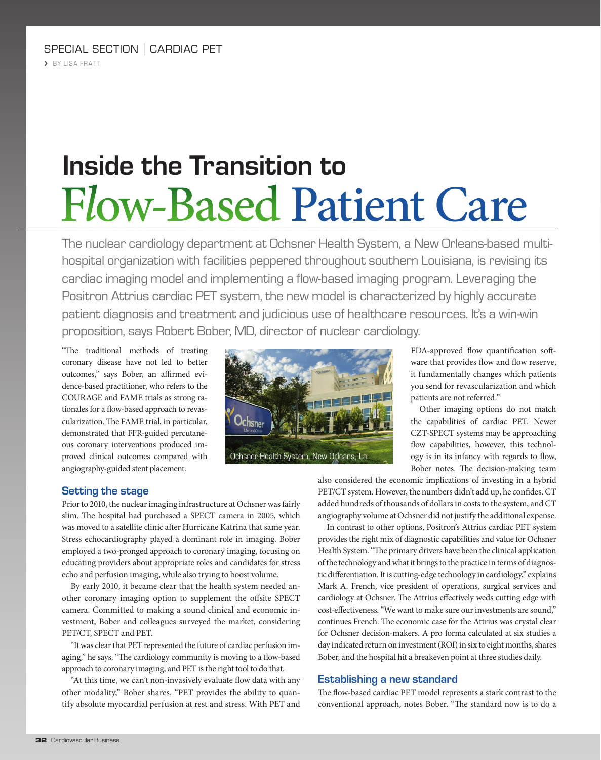# **Inside the Transition to**  Flow-Based Patient Care

The nuclear cardiology department at Ochsner Health System, a New Orleans-based multihospital organization with facilities peppered throughout southern Louisiana, is revising its cardiac imaging model and implementing a flow-based imaging program. Leveraging the Positron Attrius cardiac PET system, the new model is characterized by highly accurate patient diagnosis and treatment and judicious use of healthcare resources. It's a win-win proposition, says Robert Bober, MD, director of nuclear cardiology.

"The traditional methods of treating coronary disease have not led to better outcomes," says Bober, an affirmed evidence-based practitioner, who refers to the COURAGE and FAME trials as strong rationales for a flow-based approach to revascularization. The FAME trial, in particular, demonstrated that FFR-guided percutaneous coronary interventions produced improved clinical outcomes compared with angiography-guided stent placement.



FDA-approved flow quantification software that provides flow and flow reserve, it fundamentally changes which patients you send for revascularization and which patients are not referred."

Other imaging options do not match the capabilities of cardiac PET. Newer CZT-SPECT systems may be approaching flow capabilities, however, this technology is in its infancy with regards to flow, Bober notes. The decision-making team

## **Setting the stage**

Prior to 2010, the nuclear imaging infrastructure at Ochsner was fairly slim. The hospital had purchased a SPECT camera in 2005, which was moved to a satellite clinic after Hurricane Katrina that same year. Stress echocardiography played a dominant role in imaging. Bober employed a two-pronged approach to coronary imaging, focusing on educating providers about appropriate roles and candidates for stress echo and perfusion imaging, while also trying to boost volume.

By early 2010, it became clear that the health system needed another coronary imaging option to supplement the offsite SPECT camera. Committed to making a sound clinical and economic investment, Bober and colleagues surveyed the market, considering PET/CT, SPECT and PET.

"It was clear that PET represented the future of cardiac perfusion imaging," he says. "The cardiology community is moving to a flow-based approach to coronary imaging, and PET is the right tool to do that.

"At this time, we can't non-invasively evaluate flow data with any other modality," Bober shares. "PET provides the ability to quantify absolute myocardial perfusion at rest and stress. With PET and also considered the economic implications of investing in a hybrid PET/CT system. However, the numbers didn't add up, he confides. CT added hundreds of thousands of dollars in costs to the system, and CT angiography volume at Ochsner did not justify the additional expense.

In contrast to other options, Positron's Attrius cardiac PET system provides the right mix of diagnostic capabilities and value for Ochsner Health System. "The primary drivers have been the clinical application of the technology and what it brings to the practice in terms of diagnostic differentiation. It is cutting-edge technology in cardiology," explains Mark A. French, vice president of operations, surgical services and cardiology at Ochsner. The Attrius effectively weds cutting edge with cost-effectiveness. "We want to make sure our investments are sound," continues French. The economic case for the Attrius was crystal clear for Ochsner decision-makers. A pro forma calculated at six studies a day indicated return on investment (ROI) in six to eight months, shares Bober, and the hospital hit a breakeven point at three studies daily.

# **Establishing a new standard**

The flow-based cardiac PET model represents a stark contrast to the conventional approach, notes Bober. "The standard now is to do a